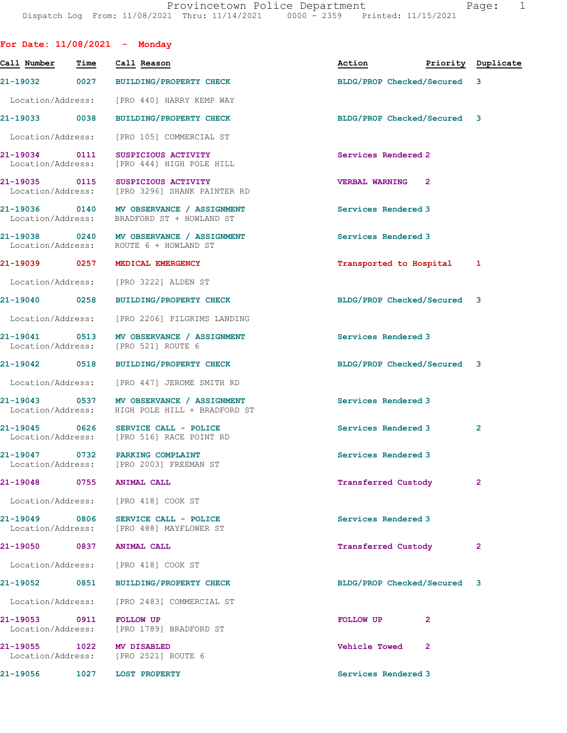| Time                               | Call Reason                    | Action                                                                                                                                                                                                                                                                                                                                                                                                                                                                                                                                                                                                                                                                                                                                                                                                                                                                                                                                                                                                                                                                                                                                                                                                                                        | Priority Duplicate          |
|------------------------------------|--------------------------------|-----------------------------------------------------------------------------------------------------------------------------------------------------------------------------------------------------------------------------------------------------------------------------------------------------------------------------------------------------------------------------------------------------------------------------------------------------------------------------------------------------------------------------------------------------------------------------------------------------------------------------------------------------------------------------------------------------------------------------------------------------------------------------------------------------------------------------------------------------------------------------------------------------------------------------------------------------------------------------------------------------------------------------------------------------------------------------------------------------------------------------------------------------------------------------------------------------------------------------------------------|-----------------------------|
| 21-19032                           |                                | BLDG/PROP Checked/Secured 3                                                                                                                                                                                                                                                                                                                                                                                                                                                                                                                                                                                                                                                                                                                                                                                                                                                                                                                                                                                                                                                                                                                                                                                                                   |                             |
| Location/Address:                  |                                |                                                                                                                                                                                                                                                                                                                                                                                                                                                                                                                                                                                                                                                                                                                                                                                                                                                                                                                                                                                                                                                                                                                                                                                                                                               |                             |
| 21-19033 0038                      |                                |                                                                                                                                                                                                                                                                                                                                                                                                                                                                                                                                                                                                                                                                                                                                                                                                                                                                                                                                                                                                                                                                                                                                                                                                                                               |                             |
| Location/Address:                  |                                |                                                                                                                                                                                                                                                                                                                                                                                                                                                                                                                                                                                                                                                                                                                                                                                                                                                                                                                                                                                                                                                                                                                                                                                                                                               |                             |
| 21-19034 0111<br>Location/Address: | SUSPICIOUS ACTIVITY            | Services Rendered 2                                                                                                                                                                                                                                                                                                                                                                                                                                                                                                                                                                                                                                                                                                                                                                                                                                                                                                                                                                                                                                                                                                                                                                                                                           |                             |
|                                    |                                | <b>VERBAL WARNING</b><br>2                                                                                                                                                                                                                                                                                                                                                                                                                                                                                                                                                                                                                                                                                                                                                                                                                                                                                                                                                                                                                                                                                                                                                                                                                    |                             |
|                                    |                                | Services Rendered 3                                                                                                                                                                                                                                                                                                                                                                                                                                                                                                                                                                                                                                                                                                                                                                                                                                                                                                                                                                                                                                                                                                                                                                                                                           |                             |
|                                    |                                | Services Rendered 3                                                                                                                                                                                                                                                                                                                                                                                                                                                                                                                                                                                                                                                                                                                                                                                                                                                                                                                                                                                                                                                                                                                                                                                                                           |                             |
| 21-19039 0257                      | MEDICAL EMERGENCY              | Transported to Hospital                                                                                                                                                                                                                                                                                                                                                                                                                                                                                                                                                                                                                                                                                                                                                                                                                                                                                                                                                                                                                                                                                                                                                                                                                       | 1                           |
| Location/Address:                  |                                |                                                                                                                                                                                                                                                                                                                                                                                                                                                                                                                                                                                                                                                                                                                                                                                                                                                                                                                                                                                                                                                                                                                                                                                                                                               |                             |
| 21-19040 0258                      |                                | BLDG/PROP Checked/Secured 3                                                                                                                                                                                                                                                                                                                                                                                                                                                                                                                                                                                                                                                                                                                                                                                                                                                                                                                                                                                                                                                                                                                                                                                                                   |                             |
| Location/Address:                  |                                |                                                                                                                                                                                                                                                                                                                                                                                                                                                                                                                                                                                                                                                                                                                                                                                                                                                                                                                                                                                                                                                                                                                                                                                                                                               |                             |
|                                    |                                | Services Rendered 3                                                                                                                                                                                                                                                                                                                                                                                                                                                                                                                                                                                                                                                                                                                                                                                                                                                                                                                                                                                                                                                                                                                                                                                                                           |                             |
| 21-19042 0518                      | <b>BUILDING/PROPERTY CHECK</b> | BLDG/PROP Checked/Secured 3                                                                                                                                                                                                                                                                                                                                                                                                                                                                                                                                                                                                                                                                                                                                                                                                                                                                                                                                                                                                                                                                                                                                                                                                                   |                             |
| Location/Address:                  |                                |                                                                                                                                                                                                                                                                                                                                                                                                                                                                                                                                                                                                                                                                                                                                                                                                                                                                                                                                                                                                                                                                                                                                                                                                                                               |                             |
|                                    |                                | Services Rendered 3                                                                                                                                                                                                                                                                                                                                                                                                                                                                                                                                                                                                                                                                                                                                                                                                                                                                                                                                                                                                                                                                                                                                                                                                                           |                             |
|                                    |                                | Services Rendered 3                                                                                                                                                                                                                                                                                                                                                                                                                                                                                                                                                                                                                                                                                                                                                                                                                                                                                                                                                                                                                                                                                                                                                                                                                           | 2                           |
| 0732                               | PARKING COMPLAINT              | Services Rendered 3                                                                                                                                                                                                                                                                                                                                                                                                                                                                                                                                                                                                                                                                                                                                                                                                                                                                                                                                                                                                                                                                                                                                                                                                                           |                             |
|                                    |                                | Transferred Custody                                                                                                                                                                                                                                                                                                                                                                                                                                                                                                                                                                                                                                                                                                                                                                                                                                                                                                                                                                                                                                                                                                                                                                                                                           | 2                           |
|                                    |                                |                                                                                                                                                                                                                                                                                                                                                                                                                                                                                                                                                                                                                                                                                                                                                                                                                                                                                                                                                                                                                                                                                                                                                                                                                                               |                             |
| 21-19049 0806                      | SERVICE CALL - POLICE          | Services Rendered 3                                                                                                                                                                                                                                                                                                                                                                                                                                                                                                                                                                                                                                                                                                                                                                                                                                                                                                                                                                                                                                                                                                                                                                                                                           |                             |
| 21-19050 0837                      |                                | Transferred Custody                                                                                                                                                                                                                                                                                                                                                                                                                                                                                                                                                                                                                                                                                                                                                                                                                                                                                                                                                                                                                                                                                                                                                                                                                           | 2                           |
| Location/Address:                  |                                |                                                                                                                                                                                                                                                                                                                                                                                                                                                                                                                                                                                                                                                                                                                                                                                                                                                                                                                                                                                                                                                                                                                                                                                                                                               |                             |
|                                    |                                | BLDG/PROP Checked/Secured 3                                                                                                                                                                                                                                                                                                                                                                                                                                                                                                                                                                                                                                                                                                                                                                                                                                                                                                                                                                                                                                                                                                                                                                                                                   |                             |
|                                    |                                |                                                                                                                                                                                                                                                                                                                                                                                                                                                                                                                                                                                                                                                                                                                                                                                                                                                                                                                                                                                                                                                                                                                                                                                                                                               |                             |
| 21-19053 0911                      | <b>FOLLOW UP</b>               | <b>FOLLOW UP</b><br>$\mathbf{2}$                                                                                                                                                                                                                                                                                                                                                                                                                                                                                                                                                                                                                                                                                                                                                                                                                                                                                                                                                                                                                                                                                                                                                                                                              |                             |
| 21-19055 1022                      |                                | <b>Vehicle Towed</b><br>$\mathbf{2}$                                                                                                                                                                                                                                                                                                                                                                                                                                                                                                                                                                                                                                                                                                                                                                                                                                                                                                                                                                                                                                                                                                                                                                                                          |                             |
| 1027                               | <b>LOST PROPERTY</b>           | Services Rendered 3                                                                                                                                                                                                                                                                                                                                                                                                                                                                                                                                                                                                                                                                                                                                                                                                                                                                                                                                                                                                                                                                                                                                                                                                                           |                             |
|                                    |                                | For Date: $11/08/2021$ - Monday<br>0027 BUILDING/PROPERTY CHECK<br>[PRO 440] HARRY KEMP WAY<br><b>BUILDING/PROPERTY CHECK</b><br>[PRO 105] COMMERCIAL ST<br>[PRO 444] HIGH POLE HILL<br>21-19035 0115 SUSPICIOUS ACTIVITY<br>Location/Address: [PRO 3296] SHANK PAINTER RD<br>21-19036 0140 MV OBSERVANCE / ASSIGNMENT<br>Location/Address: BRADFORD ST + HOWLAND ST<br>21-19038 0240 MV OBSERVANCE / ASSIGNMENT<br>Location/Address: ROUTE 6 + HOWLAND ST<br>[PRO 3222] ALDEN ST<br>BUILDING/PROPERTY CHECK<br>[PRO 2206] PILGRIMS LANDING<br>21-19041 0513 MV OBSERVANCE / ASSIGNMENT<br>Location/Address: [PRO 521] ROUTE 6<br>[PRO 447] JEROME SMITH RD<br>21-19043 0537 MV OBSERVANCE / ASSIGNMENT<br>Location/Address: HIGH POLE HILL + BRADFORD ST<br>21-19045 0626 SERVICE CALL - POLICE<br>Location/Address: [PRO 516] RACE POINT RD<br>Location/Address: [PRO 2003] FREEMAN ST<br>21-19048 0755 ANIMAL CALL<br>Location/Address: [PRO 418] COOK ST<br>Location/Address: [PRO 488] MAYFLOWER ST<br><b>ANIMAL CALL</b><br>[PRO 418] COOK ST<br>21-19052 0851 BUILDING/PROPERTY CHECK<br>Location/Address: [PRO 2483] COMMERCIAL ST<br>Location/Address: [PRO 1789] BRADFORD ST<br>MV DISABLED<br>Location/Address: [PRO 2521] ROUTE 6 | BLDG/PROP Checked/Secured 3 |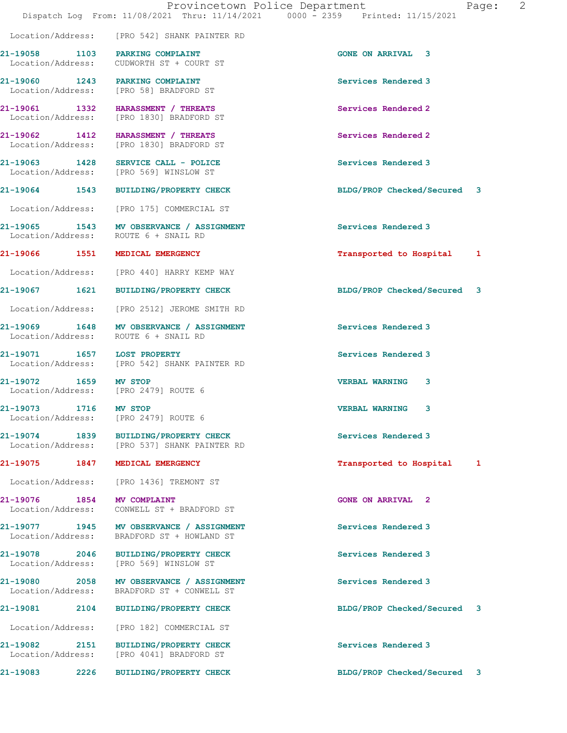|                                                 |      | Provincetown Police Department<br>Dispatch Log From: 11/08/2021 Thru: 11/14/2021 0000 - 2359 Printed: 11/15/2021 |                             | Page: 2 |  |
|-------------------------------------------------|------|------------------------------------------------------------------------------------------------------------------|-----------------------------|---------|--|
|                                                 |      | Location/Address: [PRO 542] SHANK PAINTER RD                                                                     |                             |         |  |
|                                                 |      | 21-19058 1103 PARKING COMPLAINT<br>Location/Address: CUDWORTH ST + COURT ST                                      | <b>GONE ON ARRIVAL 3</b>    |         |  |
|                                                 |      | 21-19060 1243 PARKING COMPLAINT<br>Location/Address: [PRO 58] BRADFORD ST                                        | Services Rendered 3         |         |  |
|                                                 |      | 21-19061 1332 HARASSMENT / THREATS<br>Location/Address: [PRO 1830] BRADFORD ST                                   | Services Rendered 2         |         |  |
|                                                 |      | 21-19062 1412 HARASSMENT / THREATS<br>Location/Address: [PRO 1830] BRADFORD ST                                   | Services Rendered 2         |         |  |
|                                                 |      | 21-19063 1428 SERVICE CALL - POLICE<br>Location/Address: [PRO 569] WINSLOW ST                                    | Services Rendered 3         |         |  |
|                                                 |      | 21-19064 1543 BUILDING/PROPERTY CHECK                                                                            | BLDG/PROP Checked/Secured 3 |         |  |
|                                                 |      | Location/Address: [PRO 175] COMMERCIAL ST                                                                        |                             |         |  |
|                                                 |      | 21-19065 1543 MV OBSERVANCE / ASSIGNMENT<br>Location/Address: ROUTE 6 + SNAIL RD                                 | Services Rendered 3         |         |  |
|                                                 |      | 21-19066 1551 MEDICAL EMERGENCY                                                                                  | Transported to Hospital 1   |         |  |
|                                                 |      | Location/Address: [PRO 440] HARRY KEMP WAY                                                                       |                             |         |  |
|                                                 |      | 21-19067 1621 BUILDING/PROPERTY CHECK                                                                            | BLDG/PROP Checked/Secured 3 |         |  |
|                                                 |      | Location/Address: [PRO 2512] JEROME SMITH RD                                                                     |                             |         |  |
|                                                 |      | 21-19069 1648 MV OBSERVANCE / ASSIGNMENT<br>Location/Address: ROUTE 6 + SNAIL RD                                 | Services Rendered 3         |         |  |
| 21-19071 1657 LOST PROPERTY                     |      | Location/Address: [PRO 542] SHANK PAINTER RD                                                                     | Services Rendered 3         |         |  |
| 21-19072<br>1659                                |      | MV STOP<br>Location/Address: [PRO 2479] ROUTE 6                                                                  | <b>VERBAL WARNING</b><br>3  |         |  |
| 21-19073 1716 MV STOP                           |      | Location/Address: [PRO 2479] ROUTE 6                                                                             | <b>VERBAL WARNING</b><br>3  |         |  |
|                                                 |      | 21-19074 1839 BUILDING/PROPERTY CHECK<br>Location/Address: [PRO 537] SHANK PAINTER RD                            | Services Rendered 3         |         |  |
| 21-19075                                        |      | 1847 MEDICAL EMERGENCY                                                                                           | Transported to Hospital 1   |         |  |
|                                                 |      | Location/Address: [PRO 1436] TREMONT ST                                                                          |                             |         |  |
| 21-19076 1854 MV COMPLAINT<br>Location/Address: |      | CONWELL ST + BRADFORD ST                                                                                         | <b>GONE ON ARRIVAL 2</b>    |         |  |
|                                                 |      | 21-19077 1945 MV OBSERVANCE / ASSIGNMENT<br>Location/Address: BRADFORD ST + HOWLAND ST                           | Services Rendered 3         |         |  |
| 21-19078                                        | 2046 | <b>BUILDING/PROPERTY CHECK</b>                                                                                   | Services Rendered 3         |         |  |

Location/Address: [PRO 569] WINSLOW ST

21-19080 2058 MV OBSERVANCE / ASSIGNMENT Services Rendered 3 Location/Address: BRADFORD ST + CONWELL ST

21-19081 2104 BUILDING/PROPERTY CHECK BLDG/PROP Checked/Secured 3

Location/Address: [PRO 182] COMMERCIAL ST

21-19082 2151 BUILDING/PROPERTY CHECK Services Rendered 3 Location/Address: [PRO 4041] BRADFORD ST

21-19083 2226 BUILDING/PROPERTY CHECK BLDG/PROP Checked/Secured 3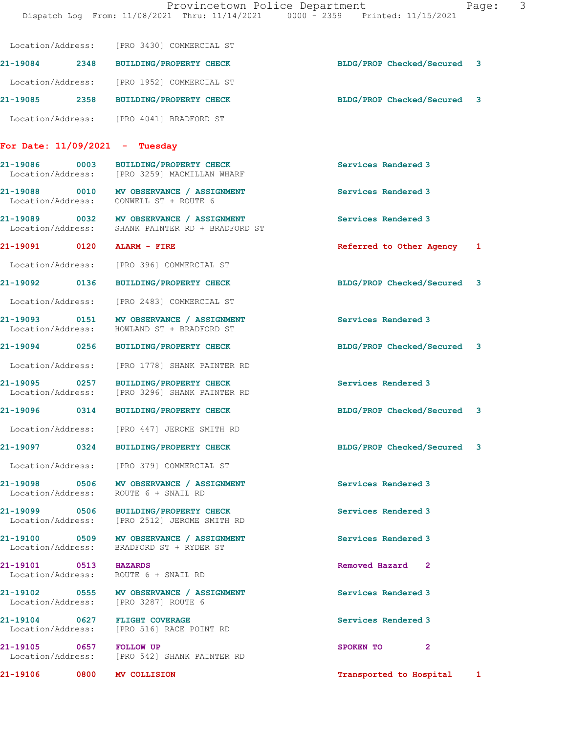| 'aqe: |
|-------|
|-------|

|                                  | Location/Address: [PRO 3430] COMMERCIAL ST                                                   |                             |   |
|----------------------------------|----------------------------------------------------------------------------------------------|-----------------------------|---|
|                                  | 21-19084 2348 BUILDING/PROPERTY CHECK                                                        | BLDG/PROP Checked/Secured 3 |   |
|                                  | Location/Address: [PRO 1952] COMMERCIAL ST                                                   |                             |   |
|                                  | 21-19085 2358 BUILDING/PROPERTY CHECK                                                        | BLDG/PROP Checked/Secured 3 |   |
|                                  | Location/Address: [PRO 4041] BRADFORD ST                                                     |                             |   |
| For Date: $11/09/2021$ - Tuesday |                                                                                              |                             |   |
| 21-19086 0003                    | BUILDING/PROPERTY CHECK<br>Location/Address: [PRO 3259] MACMILLAN WHARF                      | Services Rendered 3         |   |
|                                  | 21-19088 0010 MV OBSERVANCE / ASSIGNMENT<br>Location/Address: CONWELL ST + ROUTE 6           | Services Rendered 3         |   |
|                                  | 21-19089 0032 MV OBSERVANCE / ASSIGNMENT<br>Location/Address: SHANK PAINTER RD + BRADFORD ST | Services Rendered 3         |   |
| 21-19091 0120 ALARM - FIRE       |                                                                                              | Referred to Other Agency    | 1 |
|                                  | Location/Address: [PRO 396] COMMERCIAL ST                                                    |                             |   |
|                                  | 21-19092 0136 BUILDING/PROPERTY CHECK                                                        | BLDG/PROP Checked/Secured 3 |   |
|                                  | Location/Address: [PRO 2483] COMMERCIAL ST                                                   |                             |   |
|                                  | 21-19093 0151 MV OBSERVANCE / ASSIGNMENT<br>Location/Address: HOWLAND ST + BRADFORD ST       | Services Rendered 3         |   |
|                                  | 21-19094 0256 BUILDING/PROPERTY CHECK                                                        | BLDG/PROP Checked/Secured 3 |   |
|                                  | Location/Address: [PRO 1778] SHANK PAINTER RD                                                |                             |   |
|                                  | 21-19095 0257 BUILDING/PROPERTY CHECK<br>Location/Address: [PRO 3296] SHANK PAINTER RD       | Services Rendered 3         |   |
| 21-19096 0314                    | <b>BUILDING/PROPERTY CHECK</b>                                                               | BLDG/PROP Checked/Secured 3 |   |
|                                  | Location/Address: [PRO 447] JEROME SMITH RD                                                  |                             |   |
| 21-19097 0324                    | BUILDING/PROPERTY CHECK                                                                      | BLDG/PROP Checked/Secured 3 |   |
|                                  | Location/Address: [PRO 379] COMMERCIAL ST                                                    |                             |   |
|                                  | 21-19098 0506 MV OBSERVANCE / ASSIGNMENT<br>Location/Address: ROUTE 6 + SNAIL RD             | Services Rendered 3         |   |
|                                  | 21-19099 0506 BUILDING/PROPERTY CHECK<br>Location/Address: [PRO 2512] JEROME SMITH RD        | Services Rendered 3         |   |
|                                  | 21-19100 0509 MV OBSERVANCE / ASSIGNMENT<br>Location/Address: BRADFORD ST + RYDER ST         | Services Rendered 3         |   |
| 21-19101 0513 HAZARDS            | Location/Address: ROUTE 6 + SNAIL RD                                                         | Removed Hazard 2            |   |
|                                  | 21-19102 0555 MV OBSERVANCE / ASSIGNMENT<br>Location/Address: [PRO 3287] ROUTE 6             | Services Rendered 3         |   |
|                                  | 21-19104 0627 FLIGHT COVERAGE<br>Location/Address: [PRO 516] RACE POINT RD                   | Services Rendered 3         |   |
| 21-19105 0657 FOLLOW UP          | Location/Address: [PRO 542] SHANK PAINTER RD                                                 | SPOKEN TO 2                 |   |
| 21-19106 0800 MV COLLISION       |                                                                                              | Transported to Hospital     | 1 |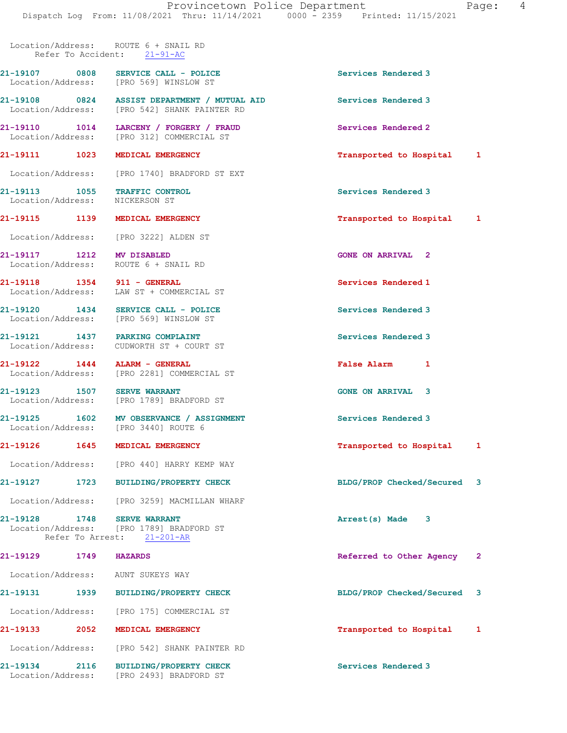Location/Address: ROUTE 6 + SNAIL RD Refer To Accident: 21-91-AC

21-19107 0808 SERVICE CALL - POLICE 3 Location/Address: [PRO 569] WINSLOW ST

21-19108 0824 ASSIST DEPARTMENT / MUTUAL AID Services Rendered 3 Location/Address: [PRO 542] SHANK PAINTER RD

21-19110 1014 LARCENY / FORGERY / FRAUD Services Rendered 2 Location/Address: [PRO 312] COMMERCIAL ST

21-19111 1023 MEDICAL EMERGENCY **12.1 CONTRACT 12.1** Transported to Hospital 1

Location/Address: [PRO 1740] BRADFORD ST EXT

21-19113 1055 TRAFFIC CONTROL Services Rendered 3 Location/Address: NICKERSON ST

Location/Address: [PRO 3222] ALDEN ST

21-19117 1212 MV DISABLED GONE ON ARRIVAL 2 Location/Address: ROUTE 6 + SNAIL RD

21-19118 1354 911 - GENERAL Services Rendered 1 Location/Address: LAW ST + COMMERCIAL ST

21-19120 1434 SERVICE CALL - POLICE Services Rendered 3 Location/Address: [PRO 569] WINSLOW ST

21-19121 1437 PARKING COMPLAINT Services Rendered 3 Location/Address: CUDWORTH ST + COURT ST

Location/Address: [PRO 2281] COMMERCIAL ST

21-19123 1507 SERVE WARRANT GONE ON ARRIVAL 3 [PRO 1789] BRADFORD ST

21-19125 1602 MV OBSERVANCE / ASSIGNMENT Services Rendered 3 Location/Address: [PRO 3440] ROUTE 6

21-19126 1645 MEDICAL EMERGENCY Transported to Hospital 1

Location/Address: [PRO 440] HARRY KEMP WAY

21-19127 1723 BUILDING/PROPERTY CHECK BLDG/PROP Checked/Secured 3 Location/Address: [PRO 3259] MACMILLAN WHARF

21-19128 1748 SERVE WARRANT 121-19128 1748 SERVE WARRANT Arrest(s) Made 3 [PRO 1789] BRADFORD ST Refer To Arrest: 21-201-AR

Location/Address: AUNT SUKEYS WAY

21-19131 1939 BUILDING/PROPERTY CHECK BLDG/PROP Checked/Secured 3 Location/Address: [PRO 175] COMMERCIAL ST

Location/Address: [PRO 542] SHANK PAINTER RD

21-19134 2116 BUILDING/PROPERTY CHECK Services Rendered 3 Location/Address: [PRO 2493] BRADFORD ST

21-19115 1139 MEDICAL EMERGENCY Transported to Hospital 1

21-19122 1444 ALARM - GENERAL False Alarm 1

21-19129 1749 HAZARDS Referred to Other Agency 2

21-19133 2052 MEDICAL EMERGENCY Transported to Hospital 1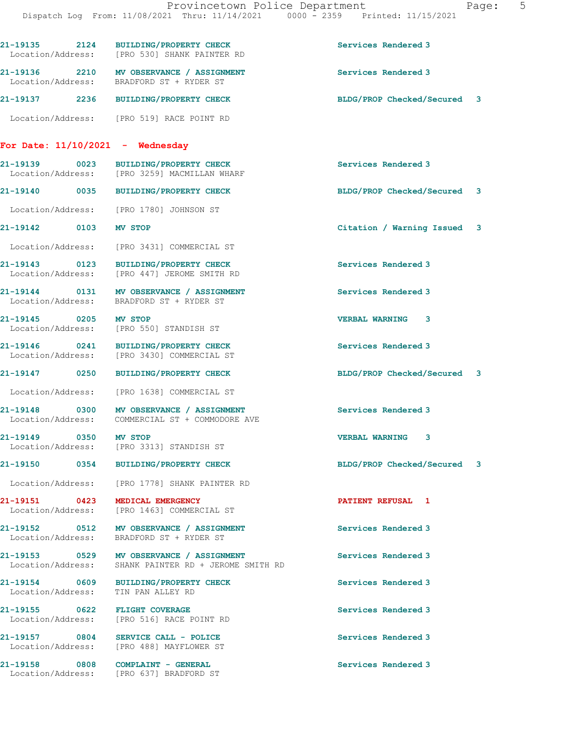|                                    | 21-19135 2124 BUILDING/PROPERTY CHECK<br>Location/Address: [PRO 530] SHANK PAINTER RD            | Services Rendered 3         |
|------------------------------------|--------------------------------------------------------------------------------------------------|-----------------------------|
|                                    | 21-19136 2210 MV OBSERVANCE / ASSIGNMENT<br>Location/Address: BRADFORD ST + RYDER ST             | Services Rendered 3         |
|                                    | 21-19137 2236 BUILDING/PROPERTY CHECK                                                            | BLDG/PROP Checked/Secured 3 |
|                                    | Location/Address: [PRO 519] RACE POINT RD                                                        |                             |
| For Date: 11/10/2021 - Wednesday   |                                                                                                  |                             |
| 21-19139 0023                      | <b>BUILDING/PROPERTY CHECK</b><br>Location/Address: [PRO 3259] MACMILLAN WHARF                   | Services Rendered 3         |
|                                    | 21-19140 0035 BUILDING/PROPERTY CHECK                                                            | BLDG/PROP Checked/Secured 3 |
|                                    | Location/Address: [PRO 1780] JOHNSON ST                                                          |                             |
| 21-19142 0103                      | MV STOP                                                                                          | Citation / Warning Issued 3 |
| Location/Address:                  | [PRO 3431] COMMERCIAL ST                                                                         |                             |
|                                    | 21-19143 0123 BUILDING/PROPERTY CHECK<br>Location/Address: [PRO 447] JEROME SMITH RD             | Services Rendered 3         |
|                                    | 21-19144 0131 MV OBSERVANCE / ASSIGNMENT<br>Location/Address: BRADFORD ST + RYDER ST             | Services Rendered 3         |
| 21-19145 0205                      | MV STOP<br>Location/Address: [PRO 550] STANDISH ST                                               | <b>VERBAL WARNING 3</b>     |
|                                    | 21-19146 0241 BUILDING/PROPERTY CHECK<br>Location/Address: [PRO 3430] COMMERCIAL ST              | Services Rendered 3         |
| 21-19147 0250                      | <b>BUILDING/PROPERTY CHECK</b>                                                                   | BLDG/PROP Checked/Secured 3 |
|                                    | Location/Address: [PRO 1638] COMMERCIAL ST                                                       |                             |
|                                    | 21-19148 0300 MV OBSERVANCE / ASSIGNMENT<br>Location/Address: COMMERCIAL ST + COMMODORE AVE      | Services Rendered 3         |
| 21-19149 0350<br>Location/Address: | <b>MV STOP</b><br>[PRO 3313] STANDISH ST                                                         | <b>VERBAL WARNING</b><br>3  |
|                                    | 21-19150 0354 BUILDING/PROPERTY CHECK                                                            | BLDG/PROP Checked/Secured 3 |
|                                    | Location/Address: [PRO 1778] SHANK PAINTER RD                                                    |                             |
|                                    | 21-19151 0423 MEDICAL EMERGENCY<br>Location/Address: [PRO 1463] COMMERCIAL ST                    | PATIENT REFUSAL 1           |
|                                    | Location/Address: BRADFORD ST + RYDER ST                                                         | Services Rendered 3         |
|                                    | 21-19153 0529 MV OBSERVANCE / ASSIGNMENT<br>Location/Address: SHANK PAINTER RD + JEROME SMITH RD | Services Rendered 3         |
|                                    | 21-19154 0609 BUILDING/PROPERTY CHECK<br>Location/Address: TIN PAN ALLEY RD                      | Services Rendered 3         |
| 21-19155 0622 FLIGHT COVERAGE      | Location/Address: [PRO 516] RACE POINT RD                                                        | Services Rendered 3         |
|                                    | Location/Address: [PRO 488] MAYFLOWER ST                                                         | Services Rendered 3         |
|                                    | 21-19158 0808 COMPLAINT - GENERAL<br>Location/Address: [PRO 637] BRADFORD ST                     | Services Rendered 3         |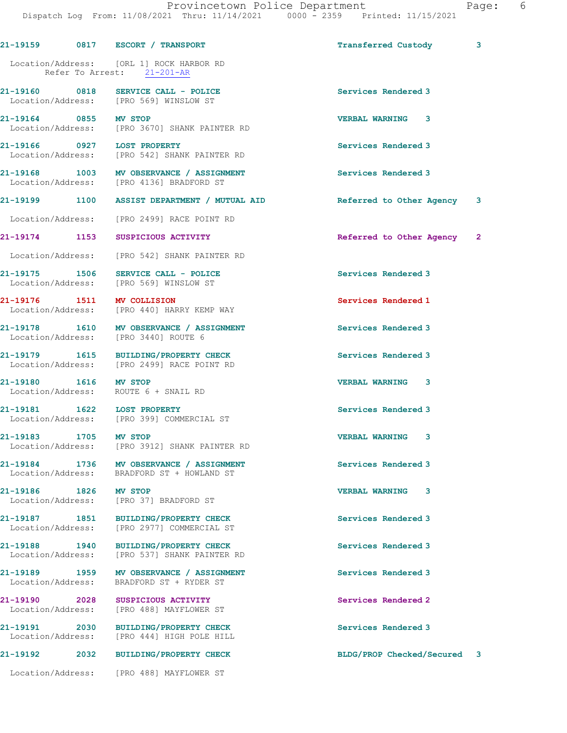21-19159 0817 ESCORT / TRANSPORT Transferred Custody 3 Location/Address: [ORL 1] ROCK HARBOR RD Refer To Arrest: 21-201-AR 21-19160 0818 SERVICE CALL - POLICE Services Rendered 3 Location/Address: [PRO 569] WINSLOW ST 21-19164 0855 MV STOP VERBAL WARNING 3 Location/Address: [PRO 3670] SHANK PAINTER RD 21-19166 0927 LOST PROPERTY Services Rendered 3 Location/Address: [PRO 542] SHANK PAINTER RD 21-19168 1003 MV OBSERVANCE / ASSIGNMENT Services Rendered 3 Location/Address: [PRO 4136] BRADFORD ST 21-19199 1100 ASSIST DEPARTMENT / MUTUAL AID Referred to Other Agency 3 Location/Address: [PRO 2499] RACE POINT RD 21-19174 1153 SUSPICIOUS ACTIVITY Referred to Other Agency 2 Location/Address: [PRO 542] SHANK PAINTER RD 21-19175 1506 SERVICE CALL - POLICE Services Rendered 3 Location/Address: [PRO 569] WINSLOW ST 21-19176 1511 MV COLLISION Services Rendered 1 Location/Address: [PRO 440] HARRY KEMP WAY 21-19178 1610 MV OBSERVANCE / ASSIGNMENT Services Rendered 3 Location/Address: [PRO 3440] ROUTE 6 21-19179 1615 BUILDING/PROPERTY CHECK Services Rendered 3 Location/Address: [PRO 2499] RACE POINT RD 21-19180 1616 MV STOP VERBAL WARNING 3 Location/Address: ROUTE 6 + SNAIL RD 21-19181 1622 LOST PROPERTY Services Rendered 3 [PRO 399] COMMERCIAL ST 21-19183 1705 MV STOP VERBAL WARNING 3 Location/Address: [PRO 3912] SHANK PAINTER RD 21-19184 1736 MV OBSERVANCE / ASSIGNMENT Services Rendered 3 Location/Address: BRADFORD ST + HOWLAND ST 21-19186 1826 MV STOP VERBAL WARNING 3 Location/Address: [PRO 37] BRADFORD ST 21-19187 1851 BUILDING/PROPERTY CHECK Services Rendered 3 [PRO 2977] COMMERCIAL ST 21-19188 1940 BUILDING/PROPERTY CHECK Services Rendered 3 Location/Address: [PRO 537] SHANK PAINTER RD 21-19189 1959 MV OBSERVANCE / ASSIGNMENT Services Rendered 3 Location/Address: BRADFORD ST + RYDER ST 21-19190 2028 SUSPICIOUS ACTIVITY Services Rendered 2 Location/Address: [PRO 488] MAYFLOWER ST 21-19191 2030 BUILDING/PROPERTY CHECK Services Rendered 3 Location/Address: [PRO 444] HIGH POLE HILL 21-19192 2032 BUILDING/PROPERTY CHECK BLDG/PROP Checked/Secured 3

Location/Address: [PRO 488] MAYFLOWER ST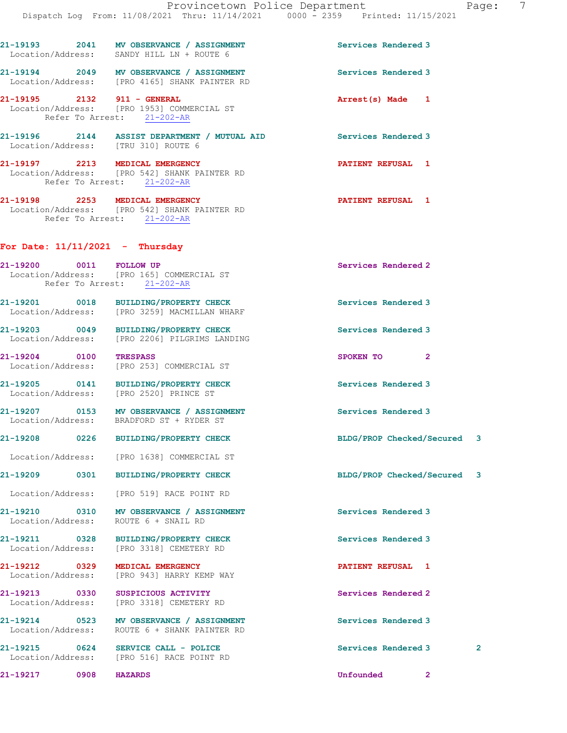|                                    |      | 21-19193 2041 MV OBSERVANCE / ASSIGNMENT<br>Location/Address: SANDY HILL LN + ROUTE 6                         | Services Rendered 3         |              |              |
|------------------------------------|------|---------------------------------------------------------------------------------------------------------------|-----------------------------|--------------|--------------|
|                                    |      | 21-19194 2049 MV OBSERVANCE / ASSIGNMENT<br>Location/Address: [PRO 4165] SHANK PAINTER RD                     | Services Rendered 3         |              |              |
| 21-19195 2132 911 - GENERAL        |      | Location/Address: [PRO 1953] COMMERCIAL ST<br>Refer To Arrest: 21-202-AR                                      | Arrest(s) Made 1            |              |              |
|                                    |      | 21-19196 2144 ASSIST DEPARTMENT / MUTUAL AID<br>Location/Address: [TRU 310] ROUTE 6                           | Services Rendered 3         |              |              |
|                                    |      | 21-19197 2213 MEDICAL EMERGENCY<br>Location/Address: [PRO 542] SHANK PAINTER RD<br>Refer To Arrest: 21-202-AR | <b>PATIENT REFUSAL 1</b>    |              |              |
|                                    |      | 21-19198 2253 MEDICAL EMERGENCY<br>Location/Address: [PRO 542] SHANK PAINTER RD<br>Refer To Arrest: 21-202-AR | <b>PATIENT REFUSAL 1</b>    |              |              |
| For Date: $11/11/2021$ - Thursday  |      |                                                                                                               |                             |              |              |
| 21-19200 0011 FOLLOW UP            |      | Location/Address: [PRO 165] COMMERCIAL ST<br>Refer To Arrest: 21-202-AR                                       | Services Rendered 2         |              |              |
|                                    |      | 21-19201 0018 BUILDING/PROPERTY CHECK<br>Location/Address: [PRO 3259] MACMILLAN WHARF                         | Services Rendered 3         |              |              |
|                                    |      | 21-19203 0049 BUILDING/PROPERTY CHECK<br>Location/Address: [PRO 2206] PILGRIMS LANDING                        | Services Rendered 3         |              |              |
| 21-19204 0100                      |      | <b>TRESPASS</b><br>Location/Address: [PRO 253] COMMERCIAL ST                                                  | SPOKEN TO 2                 |              |              |
|                                    |      | 21-19205 0141 BUILDING/PROPERTY CHECK<br>Location/Address: [PRO 2520] PRINCE ST                               | Services Rendered 3         |              |              |
|                                    |      | 21-19207 0153 MV OBSERVANCE / ASSIGNMENT<br>Location/Address: BRADFORD ST + RYDER ST                          | Services Rendered 3         |              |              |
|                                    |      | 21-19208 0226 BUILDING/PROPERTY CHECK                                                                         | BLDG/PROP Checked/Secured 3 |              |              |
| Location/Address:                  |      | [PRO 1638] COMMERCIAL ST                                                                                      |                             |              |              |
| 21-19209                           | 0301 | <b>BUILDING/PROPERTY CHECK</b>                                                                                | BLDG/PROP Checked/Secured 3 |              |              |
|                                    |      | Location/Address: [PRO 519] RACE POINT RD                                                                     |                             |              |              |
| 21-19210 0310<br>Location/Address: |      | MV OBSERVANCE / ASSIGNMENT<br>ROUTE 6 + SNAIL RD                                                              | Services Rendered 3         |              |              |
| 21-19211 0328                      |      | <b>BUILDING/PROPERTY CHECK</b><br>Location/Address: [PRO 3318] CEMETERY RD                                    | Services Rendered 3         |              |              |
| 21-19212 0329<br>Location/Address: |      | MEDICAL EMERGENCY<br>[PRO 943] HARRY KEMP WAY                                                                 | PATIENT REFUSAL 1           |              |              |
| 21-19213 0330<br>Location/Address: |      | SUSPICIOUS ACTIVITY<br>[PRO 3318] CEMETERY RD                                                                 | Services Rendered 2         |              |              |
| 21-19214 0523<br>Location/Address: |      | MV OBSERVANCE / ASSIGNMENT<br>ROUTE 6 + SHANK PAINTER RD                                                      | Services Rendered 3         |              |              |
| 21-19215 0624                      |      | SERVICE CALL - POLICE<br>Location/Address: [PRO 516] RACE POINT RD                                            | Services Rendered 3         |              | $\mathbf{2}$ |
| 21-19217                           | 0908 | <b>HAZARDS</b>                                                                                                | Unfounded                   | $\mathbf{2}$ |              |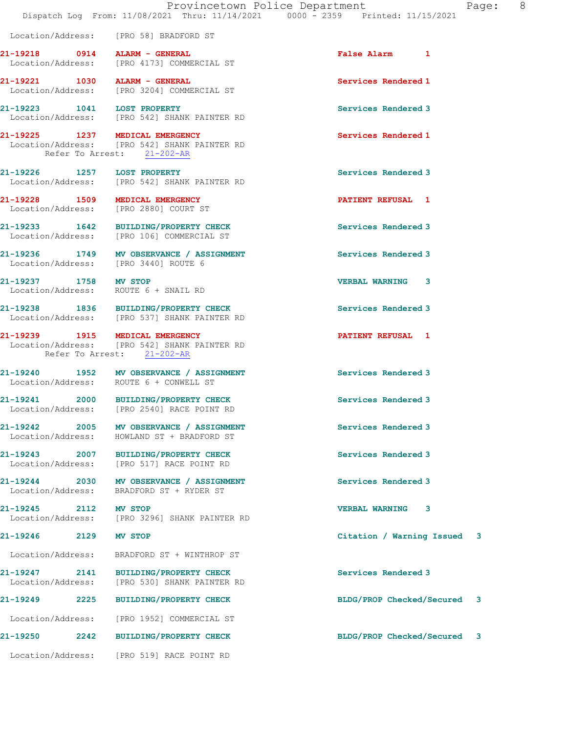|                                      | Dispatch Log From: 11/08/2021 Thru: 11/14/2021 0000 - 2359 Printed: 11/15/2021         | Provincetown Police Department<br>Pac |
|--------------------------------------|----------------------------------------------------------------------------------------|---------------------------------------|
|                                      | Location/Address: [PRO 58] BRADFORD ST                                                 |                                       |
| 21-19218 0914 ALARM - GENERAL        | Location/Address: [PRO 4173] COMMERCIAL ST                                             | False Alarm 1                         |
| 21-19221 1030 ALARM - GENERAL        | Location/Address: [PRO 3204] COMMERCIAL ST                                             | Services Rendered 1                   |
|                                      | 21-19223 1041 LOST PROPERTY<br>Location/Address: [PRO 542] SHANK PAINTER RD            | Services Rendered 3                   |
| Refer To Arrest: 21-202-AR           | 21-19225 1237 MEDICAL EMERGENCY<br>Location/Address: [PRO 542] SHANK PAINTER RD        | Services Rendered 1                   |
| 21-19226 1257 LOST PROPERTY          | Location/Address: [PRO 542] SHANK PAINTER RD                                           | Services Rendered 3                   |
| 21-19228 1509 MEDICAL EMERGENCY      | Location/Address: [PRO 2880] COURT ST                                                  | PATIENT REFUSAL 1                     |
|                                      | 21-19233 1642 BUILDING/PROPERTY CHECK<br>Location/Address: [PRO 106] COMMERCIAL ST     | Services Rendered 3                   |
| Location/Address: [PRO 3440] ROUTE 6 | 21-19236 1749 MV OBSERVANCE / ASSIGNMENT                                               | Services Rendered 3                   |
| 21-19237 1758 MV STOP                | Location/Address: ROUTE 6 + SNAIL RD                                                   | <b>VERBAL WARNING 3</b>               |
|                                      | 21-19238 1836 BUILDING/PROPERTY CHECK<br>Location/Address: [PRO 537] SHANK PAINTER RD  | Services Rendered 3                   |
| Refer To Arrest: 21-202-AR           | 21-19239 1915 MEDICAL EMERGENCY<br>Location/Address: [PRO 542] SHANK PAINTER RD        | <b>PATIENT REFUSAL 1</b>              |
|                                      | 21-19240 1952 MV OBSERVANCE / ASSIGNMENT<br>Location/Address: ROUTE 6 + CONWELL ST     | Services Rendered 3                   |
|                                      | 21-19241 2000 BUILDING/PROPERTY CHECK<br>Location/Address: [PRO 2540] RACE POINT RD    | Services Rendered 3                   |
|                                      | 21-19242 2005 MV OBSERVANCE / ASSIGNMENT<br>Location/Address: HOWLAND ST + BRADFORD ST | Services Rendered 3                   |
|                                      | 21-19243 2007 BUILDING/PROPERTY CHECK<br>Location/Address: [PRO 517] RACE POINT RD     | Services Rendered 3                   |
|                                      | 21-19244 2030 MV OBSERVANCE / ASSIGNMENT<br>Location/Address: BRADFORD ST + RYDER ST   | Services Rendered 3                   |
| 21-19245 2112 MV STOP                | Location/Address: [PRO 3296] SHANK PAINTER RD                                          | <b>VERBAL WARNING</b><br>3            |
| 21-19246<br>2129                     | MV STOP                                                                                | Citation / Warning Issued 3           |
|                                      | Location/Address: BRADFORD ST + WINTHROP ST                                            |                                       |
| Location/Address:                    | 21-19247 2141 BUILDING/PROPERTY CHECK<br>[PRO 530] SHANK PAINTER RD                    | Services Rendered 3                   |
| 21-19249                             | 2225 BUILDING/PROPERTY CHECK                                                           | BLDG/PROP Checked/Secured 3           |
|                                      | Location/Address: [PRO 1952] COMMERCIAL ST                                             |                                       |
| 21-19250<br>2242                     | <b>BUILDING/PROPERTY CHECK</b>                                                         | BLDG/PROP Checked/Secured 3           |
|                                      | Location/Address: [PRO 519] RACE POINT RD                                              |                                       |

age: 8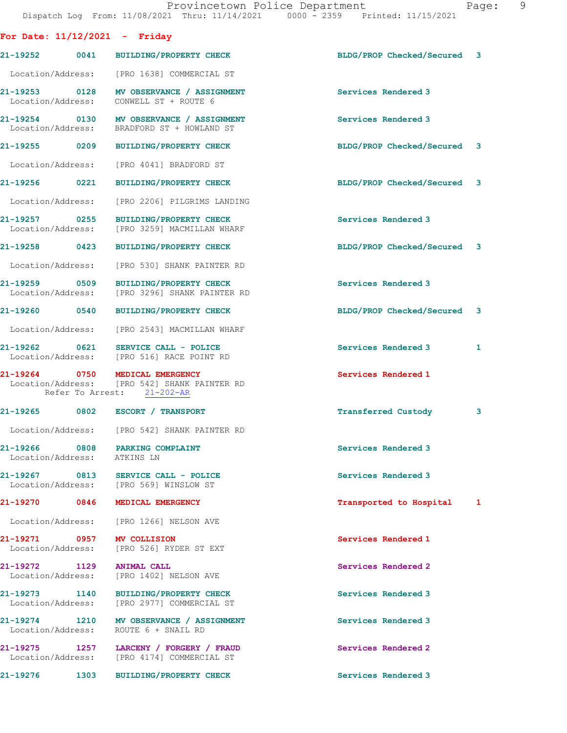| For Date: $11/12/2021$ - Friday |      |                                                                                                               |                             |   |
|---------------------------------|------|---------------------------------------------------------------------------------------------------------------|-----------------------------|---|
|                                 |      | 21-19252 0041 BUILDING/PROPERTY CHECK                                                                         | BLDG/PROP Checked/Secured 3 |   |
|                                 |      | Location/Address: [PRO 1638] COMMERCIAL ST                                                                    |                             |   |
|                                 |      | 21-19253 0128 MV OBSERVANCE / ASSIGNMENT<br>Location/Address: CONWELL ST + ROUTE 6                            | Services Rendered 3         |   |
|                                 |      | 21-19254 0130 MV OBSERVANCE / ASSIGNMENT<br>Location/Address: BRADFORD ST + HOWLAND ST                        | Services Rendered 3         |   |
|                                 |      | 21-19255 0209 BUILDING/PROPERTY CHECK                                                                         | BLDG/PROP Checked/Secured 3 |   |
|                                 |      | Location/Address: [PRO 4041] BRADFORD ST                                                                      |                             |   |
| 21-19256 0221                   |      | BUILDING/PROPERTY CHECK                                                                                       | BLDG/PROP Checked/Secured 3 |   |
|                                 |      | Location/Address: [PRO 2206] PILGRIMS LANDING                                                                 |                             |   |
| 21-19257 0255                   |      | BUILDING/PROPERTY CHECK<br>Location/Address: [PRO 3259] MACMILLAN WHARF                                       | Services Rendered 3         |   |
|                                 |      | 21-19258 0423 BUILDING/PROPERTY CHECK                                                                         | BLDG/PROP Checked/Secured 3 |   |
|                                 |      | Location/Address: [PRO 530] SHANK PAINTER RD                                                                  |                             |   |
| 21-19259 0509                   |      | <b>BUILDING/PROPERTY CHECK</b><br>Location/Address: [PRO 3296] SHANK PAINTER RD                               | Services Rendered 3         |   |
|                                 |      | 21-19260 0540 BUILDING/PROPERTY CHECK                                                                         | BLDG/PROP Checked/Secured 3 |   |
|                                 |      | Location/Address: [PRO 2543] MACMILLAN WHARF                                                                  |                             |   |
|                                 |      | 21-19262 0621 SERVICE CALL - POLICE<br>Location/Address: [PRO 516] RACE POINT RD                              | Services Rendered 3         | 1 |
|                                 |      | 21-19264 0750 MEDICAL EMERGENCY<br>Location/Address: [PRO 542] SHANK PAINTER RD<br>Refer To Arrest: 21-202-AR | Services Rendered 1         |   |
|                                 |      | 21-19265 0802 ESCORT / TRANSPORT                                                                              | Transferred Custody         | 3 |
|                                 |      | Location/Address: [PRO 542] SHANK PAINTER RD                                                                  |                             |   |
| Location/Address: ATKINS LN     |      | 21-19266 0808 PARKING COMPLAINT                                                                               | Services Rendered 3         |   |
|                                 |      | 21-19267 0813 SERVICE CALL - POLICE<br>Location/Address: [PRO 569] WINSLOW ST                                 | Services Rendered 3         |   |
|                                 |      | 21-19270 0846 MEDICAL EMERGENCY                                                                               | Transported to Hospital 1   |   |
|                                 |      | Location/Address: [PRO 1266] NELSON AVE                                                                       |                             |   |
| 21-19271 0957 MV COLLISION      |      | Location/Address: [PRO 526] RYDER ST EXT                                                                      | Services Rendered 1         |   |
| 21-19272 1129                   |      | <b>ANIMAL CALL</b><br>Location/Address: [PRO 1402] NELSON AVE                                                 | Services Rendered 2         |   |
|                                 |      | 21-19273 1140 BUILDING/PROPERTY CHECK<br>Location/Address: [PRO 2977] COMMERCIAL ST                           | Services Rendered 3         |   |
|                                 |      | 21-19274 1210 MV OBSERVANCE / ASSIGNMENT<br>Location/Address: ROUTE 6 + SNAIL RD                              | Services Rendered 3         |   |
|                                 |      | 21-19275 1257 LARCENY / FORGERY / FRAUD<br>Location/Address: [PRO 4174] COMMERCIAL ST                         | Services Rendered 2         |   |
| 21-19276                        | 1303 | BUILDING/PROPERTY CHECK                                                                                       | Services Rendered 3         |   |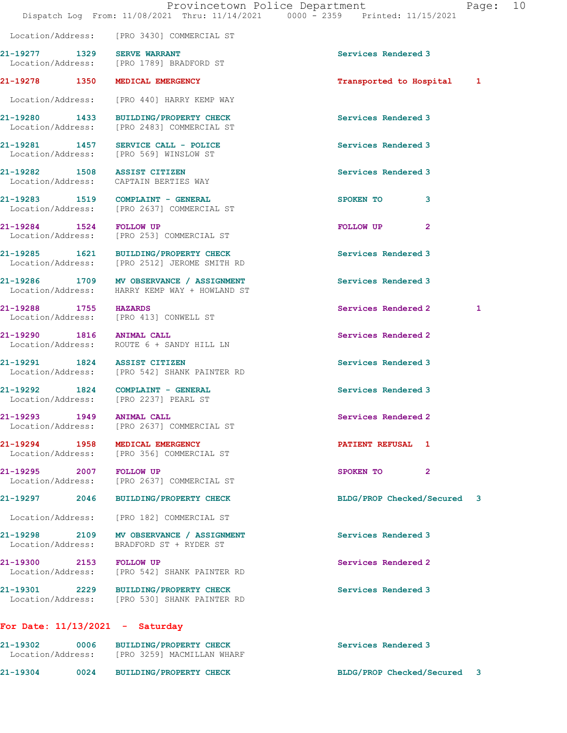Location/Address: [PRO 3430] COMMERCIAL ST

21-19277 1329 SERVE WARRANT SERVE SERVE SERVE SERVE SERVE SERVE SERVE SERVE SERVE SERVE SERVE SERVE SERVE SER

21-19278 1350 MEDICAL EMERGENCY Transported to Hospital 1

21-19281 1457 SERVICE CALL - POLICE 21-19281 Services Rendered 3

21-19282 1508 ASSIST CITIZEN Services Rendered 3

Location/Address:

21-19294 1958 MEDICAL EMERGENCY **1958 1969 1969 1969 1969** PATIENT REFUSAL 1

21-19301 2229 BUILDING/PROPERTY CHECK Services Rendered 3 Location/Address: [PRO 530] SHANK PAINTER RD

## For Date: 11/13/2021 - Saturday

21-19302 0006 BUILDING/PROPERTY CHECK Services Rendered 3 Location/Address: [PRO 3259] MACMILLAN WHARF 21-19304 0024 BUILDING/PROPERTY CHECK BLDG/PROP Checked/Secured 3

Location/Address: [PRO 1789] BRADFORD ST

Location/Address: [PRO 440] HARRY KEMP WAY

21-19280 1433 BUILDING/PROPERTY CHECK Services Rendered 3<br>
Location/Address: [PRO 2483] COMMERCIAL ST [PRO 2483] COMMERCIAL ST

Location/Address: [PRO 569] WINSLOW ST

Location/Address: CAPTAIN BERTIES WAY

21-19283 1519 COMPLAINT - GENERAL SPOKEN TO 3 Location/Address: [PRO 2637] COMMERCIAL ST

21-19284 1524 FOLLOW UP **FOLLOW UP** 2 Location/Address: [PRO 253] COMMERCIAL ST

21-19285 1621 BUILDING/PROPERTY CHECK Services Rendered 3<br>
Location/Address: [PRO 2512] JEROME SMITH RD [PRO 2512] JEROME SMITH RD

21-19286 1709 MV OBSERVANCE / ASSIGNMENT Services Rendered 3 Location/Address: HARRY KEMP WAY + HOWLAND ST

Location/Address: [PRO 413] CONWELL ST

21-19290 1816 ANIMAL CALL Services Rendered 2 Location/Address: ROUTE 6 + SANDY HILL LN

21-19291 1824 ASSIST CITIZEN Services Rendered 3 Location/Address: [PRO 542] SHANK PAINTER RD

21-19292 1824 COMPLAINT - GENERAL SERIES Services Rendered 3<br>
Location/Address: [PRO 2237] PEARL ST

21-19293 1949 ANIMAL CALL Services Rendered 2 Location/Address: [PRO 2637] COMMERCIAL ST

Location/Address: [PRO 356] COMMERCIAL ST

Location/Address: [PRO 2637] COMMERCIAL ST

Location/Address: [PRO 182] COMMERCIAL ST

Location/Address: BRADFORD ST + RYDER ST

Location/Address: [PRO 542] SHANK PAINTER RD

21-19300 2153 FOLLOW UP Services Rendered 2

21-19295 2007 FOLLOW UP 2008 2007 2007 2008 2008 2011 2012 2012 2013

21-19298 2109 MV OBSERVANCE / ASSIGNMENT Services Rendered 3

21-19288 1755 HAZARDS Services Rendered 2 1

21-19297 2046 BUILDING/PROPERTY CHECK BLDG/PROP Checked/Secured 3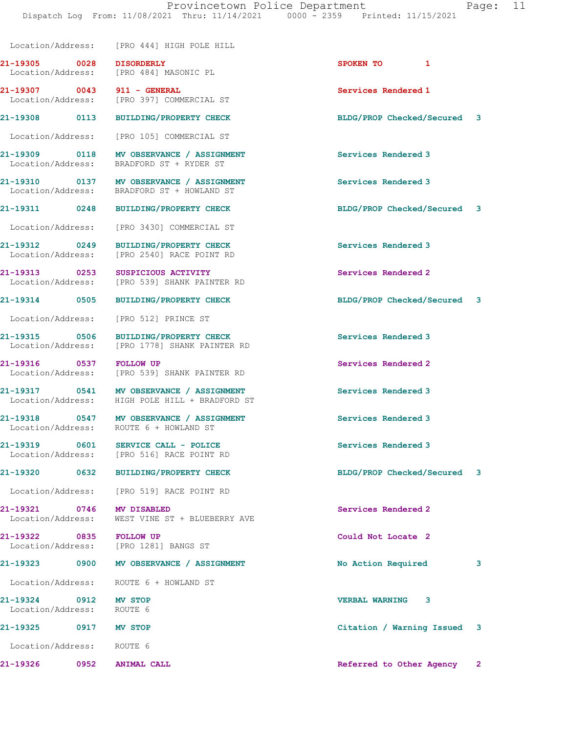Location/Address: [PRO 444] HIGH POLE HILL

Location/Address: ROUTE 6 + HOWLAND ST

21-19322 0835 FOLLOW UP Could Not Locate 2

Location/Address: ROUTE 6 + HOWLAND ST

21-19324 0912 MV STOP VERBAL WARNING 3 Location/Address:

Location/Address: ROUTE 6

21-19305 0028 DISORDERLY SPOKEN TO 1 Location/Address: [PRO 484] MASONIC PL

21-19307 0043 911 - GENERAL Services Rendered 1 Location/Address: [PRO 397] COMMERCIAL ST

Location/Address: [PRO 105] COMMERCIAL ST

21-19309 0118 MV OBSERVANCE / ASSIGNMENT Services Rendered 3 Location/Address: BRADFORD ST + RYDER ST

21-19310 0137 MV OBSERVANCE / ASSIGNMENT Services Rendered 3 Location/Address: BRADFORD ST + HOWLAND ST

Location/Address: [PRO 3430] COMMERCIAL ST

21-19312 0249 BUILDING/PROPERTY CHECK Services Rendered 3 Location/Address: [PRO 2540] RACE POINT RD

21-19313 0253 SUSPICIOUS ACTIVITY<br>
Location/Address: [PRO 539] SHANK PAINTER RD [PRO 539] SHANK PAINTER RD

Location/Address: [PRO 512] PRINCE ST

21-19315 0506 BUILDING/PROPERTY CHECK Services Rendered 3 Location/Address: [PRO 1778] SHANK PAINTER RD

21-19316 0537 FOLLOW UP Services Rendered 2 Location/Address: [PRO 539] SHANK PAINTER RD

21-19317 0541 MV OBSERVANCE / ASSIGNMENT Services Rendered 3 Location/Address: HIGH POLE HILL + BRADFORD ST

21-19318 0547 MV OBSERVANCE / ASSIGNMENT Services Rendered 3

21-19319 0601 SERVICE CALL - POLICE 21 Services Rendered 3 Location/Address: [PRO 516] RACE POINT RD

Location/Address: [PRO 519] RACE POINT RD

21-19321 0746 MV DISABLED Services Rendered 2 Location/Address: WEST VINE ST + BLUEBERRY AVE

Location/Address: [PRO 1281] BANGS ST

21-19308 0113 BUILDING/PROPERTY CHECK BLDG/PROP Checked/Secured 3

21-19311 0248 BUILDING/PROPERTY CHECK BLDG/PROP Checked/Secured 3

21-19314 0505 BUILDING/PROPERTY CHECK BLDG/PROP Checked/Secured 3

21-19320 0632 BUILDING/PROPERTY CHECK BLDG/PROP Checked/Secured 3

21-19323 0900 MV OBSERVANCE / ASSIGNMENT No Action Required 3

21-19325 0917 MV STOP Citation / Warning Issued 3

21-19326 0952 ANIMAL CALL Referred to Other Agency 2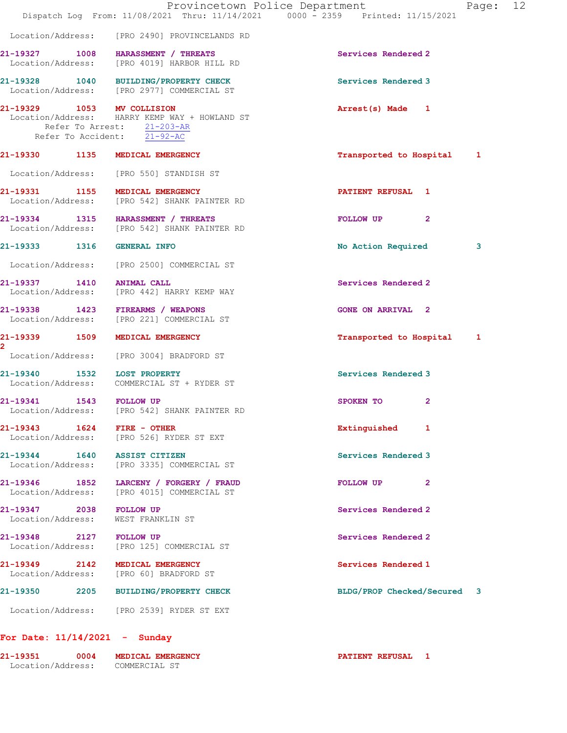|                                    | Provincetown Police Department<br>Dispatch Log From: 11/08/2021 Thru: 11/14/2021 0000 - 2359 Printed: 11/15/2021 |                             | Page: 12 |  |
|------------------------------------|------------------------------------------------------------------------------------------------------------------|-----------------------------|----------|--|
|                                    | Location/Address: [PRO 2490] PROVINCELANDS RD                                                                    |                             |          |  |
|                                    | 21-19327 1008 HARASSMENT / THREATS<br>Location/Address: [PRO 4019] HARBOR HILL RD                                | Services Rendered 2         |          |  |
|                                    | 21-19328 1040 BUILDING/PROPERTY CHECK<br>Location/Address: [PRO 2977] COMMERCIAL ST                              | Services Rendered 3         |          |  |
| 21-19329 1053 MV COLLISION         | Location/Address: HARRY KEMP WAY + HOWLAND ST<br>Refer To Arrest: 21-203-AR<br>Refer To Accident: 21-92-AC       | Arrest(s) Made 1            |          |  |
|                                    | 21-19330 1135 MEDICAL EMERGENCY                                                                                  | Transported to Hospital 1   |          |  |
|                                    | Location/Address: [PRO 550] STANDISH ST                                                                          |                             |          |  |
|                                    | 21-19331 1155 MEDICAL EMERGENCY<br>Location/Address: [PRO 542] SHANK PAINTER RD                                  | PATIENT REFUSAL 1           |          |  |
|                                    | 21-19334 1315 HARASSMENT / THREATS<br>Location/Address: [PRO 542] SHANK PAINTER RD                               | FOLLOW UP<br>$\mathbf{2}$   |          |  |
| 21-19333 1316                      | <b>GENERAL INFO</b>                                                                                              | No Action Required          | 3        |  |
|                                    | Location/Address: [PRO 2500] COMMERCIAL ST                                                                       |                             |          |  |
| 21-19337 1410                      | <b>ANIMAL CALL</b><br>Location/Address: [PRO 442] HARRY KEMP WAY                                                 | Services Rendered 2         |          |  |
|                                    | 21-19338 1423 FIREARMS / WEAPONS<br>Location/Address: [PRO 221] COMMERCIAL ST                                    | <b>GONE ON ARRIVAL 2</b>    |          |  |
| 21-19339 1509                      | MEDICAL EMERGENCY                                                                                                | Transported to Hospital 1   |          |  |
|                                    | Location/Address: [PRO 3004] BRADFORD ST                                                                         |                             |          |  |
| 21-19340 1532 LOST PROPERTY        | Location/Address: COMMERCIAL ST + RYDER ST                                                                       | Services Rendered 3         |          |  |
| 21-19341 1543 FOLLOW UP            | Location/Address: [PRO 542] SHANK PAINTER RD                                                                     | SPOKEN TO<br>2              |          |  |
| 21-19343    1624    FIRE - OTHER   | Location/Address: [PRO 526] RYDER ST EXT                                                                         | Extinguished 1              |          |  |
| 21-19344 1640 ASSIST CITIZEN       | Location/Address: [PRO 3335] COMMERCIAL ST                                                                       | Services Rendered 3         |          |  |
|                                    | 21-19346 1852 LARCENY / FORGERY / FRAUD<br>Location/Address: [PRO 4015] COMMERCIAL ST                            | $\mathbf{2}$<br>FOLLOW UP   |          |  |
| 21-19347 2038<br>Location/Address: | <b>FOLLOW UP</b><br>WEST FRANKLIN ST                                                                             | Services Rendered 2         |          |  |
| 21-19348 2127 FOLLOW UP            | Location/Address: [PRO 125] COMMERCIAL ST                                                                        | Services Rendered 2         |          |  |
| 21-19349 2142<br>Location/Address: | MEDICAL EMERGENCY<br>[PRO 60] BRADFORD ST                                                                        | Services Rendered 1         |          |  |
|                                    | 21-19350 2205 BUILDING/PROPERTY CHECK                                                                            | BLDG/PROP Checked/Secured 3 |          |  |
|                                    |                                                                                                                  |                             |          |  |

21-19351 0004 MEDICAL EMERGENCY PATIENT REFUSAL 1 Location/Address: COMMERCIAL ST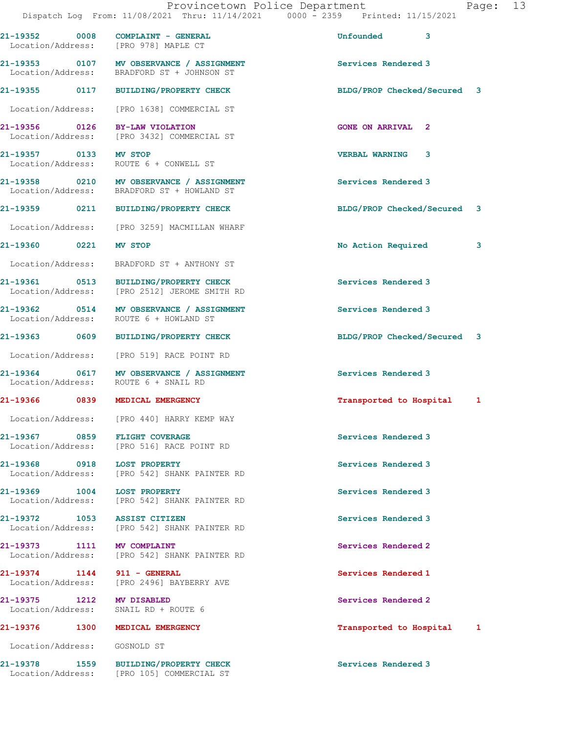|                              |      | 21-19352 0008 COMPLAINT - GENERAL<br>Location/Address: [PRO 978] MAPLE CT              | <b>Unfounded</b><br>3       |   |
|------------------------------|------|----------------------------------------------------------------------------------------|-----------------------------|---|
|                              |      | 21-19353 0107 MV OBSERVANCE / ASSIGNMENT<br>Location/Address: BRADFORD ST + JOHNSON ST | Services Rendered 3         |   |
|                              |      | 21-19355 0117 BUILDING/PROPERTY CHECK                                                  | BLDG/PROP Checked/Secured 3 |   |
|                              |      | Location/Address: [PRO 1638] COMMERCIAL ST                                             |                             |   |
|                              |      | 21-19356 0126 BY-LAW VIOLATION<br>Location/Address: [PRO 3432] COMMERCIAL ST           | <b>GONE ON ARRIVAL 2</b>    |   |
| 21-19357 0133 MV STOP        |      | Location/Address: ROUTE 6 + CONWELL ST                                                 | <b>VERBAL WARNING 3</b>     |   |
|                              |      | 21-19358 0210 MV OBSERVANCE / ASSIGNMENT<br>Location/Address: BRADFORD ST + HOWLAND ST | Services Rendered 3         |   |
|                              |      | 21-19359 0211 BUILDING/PROPERTY CHECK                                                  | BLDG/PROP Checked/Secured 3 |   |
|                              |      | Location/Address: [PRO 3259] MACMILLAN WHARF                                           |                             |   |
| 21-19360 0221                |      | MV STOP                                                                                | No Action Required          | 3 |
|                              |      | Location/Address: BRADFORD ST + ANTHONY ST                                             |                             |   |
|                              |      | 21-19361 0513 BUILDING/PROPERTY CHECK<br>Location/Address: [PRO 2512] JEROME SMITH RD  | Services Rendered 3         |   |
|                              |      | 21-19362 0514 MV OBSERVANCE / ASSIGNMENT<br>Location/Address: ROUTE 6 + HOWLAND ST     | Services Rendered 3         |   |
|                              |      | 21-19363 0609 BUILDING/PROPERTY CHECK                                                  | BLDG/PROP Checked/Secured 3 |   |
|                              |      | Location/Address: [PRO 519] RACE POINT RD                                              |                             |   |
|                              |      | 21-19364 0617 MV OBSERVANCE / ASSIGNMENT<br>Location/Address: ROUTE 6 + SNAIL RD       | Services Rendered 3         |   |
|                              |      | 21-19366 0839 MEDICAL EMERGENCY                                                        | Transported to Hospital     | 1 |
|                              |      | Location/Address: [PRO 440] HARRY KEMP WAY                                             |                             |   |
|                              |      | 21-19367 0859 FLIGHT COVERAGE<br>Location/Address: [PRO 516] RACE POINT RD             | Services Rendered 3         |   |
|                              |      | 21-19368 0918 LOST PROPERTY<br>Location/Address: [PRO 542] SHANK PAINTER RD            | Services Rendered 3         |   |
|                              |      | 21-19369 1004 LOST PROPERTY<br>Location/Address: [PRO 542] SHANK PAINTER RD            | Services Rendered 3         |   |
|                              |      | 21-19372 1053 ASSIST CITIZEN<br>Location/Address: [PRO 542] SHANK PAINTER RD           | Services Rendered 3         |   |
|                              |      | 21-19373 1111 MV COMPLAINT<br>Location/Address: [PRO 542] SHANK PAINTER RD             | Services Rendered 2         |   |
|                              |      | 21-19374 1144 911 - GENERAL<br>Location/Address: [PRO 2496] BAYBERRY AVE               | Services Rendered 1         |   |
| 21-19375 1212 MV DISABLED    |      | Location/Address: SNAIL RD + ROUTE 6                                                   | Services Rendered 2         |   |
| 21-19376                     | 1300 | <b>MEDICAL EMERGENCY</b>                                                               | Transported to Hospital 1   |   |
| Location/Address: GOSNOLD ST |      |                                                                                        |                             |   |
| 21-19378                     |      | 1559 BUILDING/PROPERTY CHECK<br>Location/Address: [PRO 105] COMMERCIAL ST              | Services Rendered 3         |   |